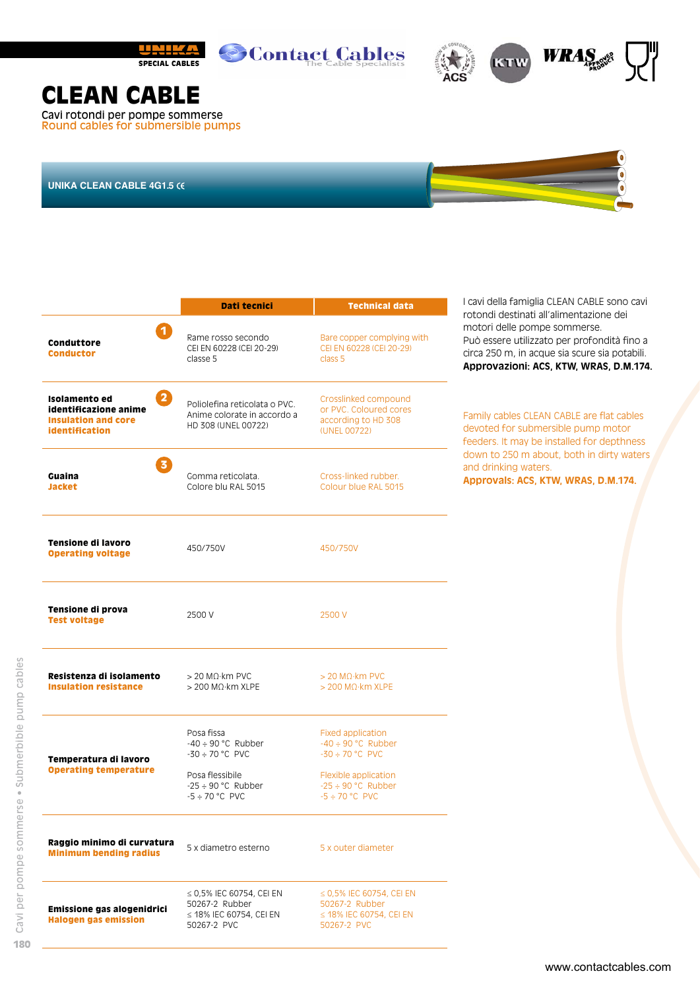





## **CLEAN CABLE**

Cavi rotondi per pompe sommerse Round cables for submersible pumps

**UNIKA CLEAN CABLE 4G1.5**

|                                                                                                                 | Dati tecnici                                                                                                                       | <b>Technical data</b>                                                                                                                                 | I cavi della famiglia CLEAN CABLE sono cavi<br>rotondi destinati all'alimentazione dei                                                                                 |
|-----------------------------------------------------------------------------------------------------------------|------------------------------------------------------------------------------------------------------------------------------------|-------------------------------------------------------------------------------------------------------------------------------------------------------|------------------------------------------------------------------------------------------------------------------------------------------------------------------------|
| $\overline{\mathbf{1}}$<br>Conduttore<br>Conductor                                                              | Rame rosso secondo<br>CEI EN 60228 (CEI 20-29)<br>classe 5                                                                         | Bare copper complying with<br>CEI EN 60228 (CEI 20-29)<br>class 5                                                                                     | motori delle pompe sommerse.<br>Può essere utilizzato per profondità fino a<br>circa 250 m, in acque sia scure sia potabili.<br>Approvazioni: ACS, KTW, WRAS, D.M.174. |
| $\overline{2}$<br>Isolamento ed<br>identificazione anime<br><b>Insulation and core</b><br><b>identification</b> | Poliolefina reticolata o PVC.<br>Anime colorate in accordo a<br>HD 308 (UNEL 00722)                                                | Crosslinked compound<br>or PVC. Coloured cores<br>according to HD 308<br>(UNEL 00722)                                                                 | Family cables CLEAN CABLE are flat cables<br>devoted for submersible pump motor<br>feeders. It may be installed for depthness                                          |
| $\overline{3}$<br>Guaina<br>Jacket                                                                              | Gomma reticolata.<br>Colore blu RAL 5015                                                                                           | Cross-linked rubber.<br>Colour blue RAL 5015                                                                                                          | down to 250 m about, both in dirty waters<br>and drinking waters.<br>Approvals: ACS, KTW, WRAS, D.M.174.                                                               |
| Tensione di lavoro<br><b>Operating voltage</b>                                                                  | 450/750V                                                                                                                           | 450/750V                                                                                                                                              |                                                                                                                                                                        |
| Tensione di prova<br><b>Test voltage</b>                                                                        | 2500 V                                                                                                                             | 2500 V                                                                                                                                                |                                                                                                                                                                        |
| Resistenza di isolamento<br><b>Insulation resistance</b>                                                        | $>$ 20 M $\Omega$ ·km PVC<br>$>$ 200 M $\Omega$ ·km XLPE                                                                           | $>$ 20 M $\Omega$ ·km PVC<br>$>$ 200 M $\Omega$ ·km XLPE                                                                                              |                                                                                                                                                                        |
| Temperatura di lavoro<br><b>Operating temperature</b>                                                           | Posa fissa<br>$-40 \div 90$ °C Rubber<br>$-30 \div 70$ °C PVC<br>Posa flessibile<br>$-25 \div 90$ °C Rubber<br>$-5 \div 70$ °C PVC | <b>Fixed application</b><br>$-40 \div 90$ °C Rubber<br>$-30 \div 70$ °C PVC<br>Flexible application<br>$-25 \div 90$ °C Rubber<br>$-5 \div 70$ °C PVC |                                                                                                                                                                        |
| Raggio minimo di curvatura<br><b>Minimum bending radius</b>                                                     | 5 x diametro esterno                                                                                                               | 5 x outer diameter                                                                                                                                    |                                                                                                                                                                        |
| Emissione gas alogenidrici<br><b>Halogen gas emission</b>                                                       | ≤ 0,5% IEC 60754, CEI EN<br>50267-2 Rubber<br>$\leq$ 18% IEC 60754, CEI EN<br>50267-2 PVC                                          | $\leq$ 0,5% IEC 60754, CEI EN<br>50267-2 Rubber<br>$\leq$ 18% IEC 60754, CEI EN<br>50267-2 PVC                                                        |                                                                                                                                                                        |